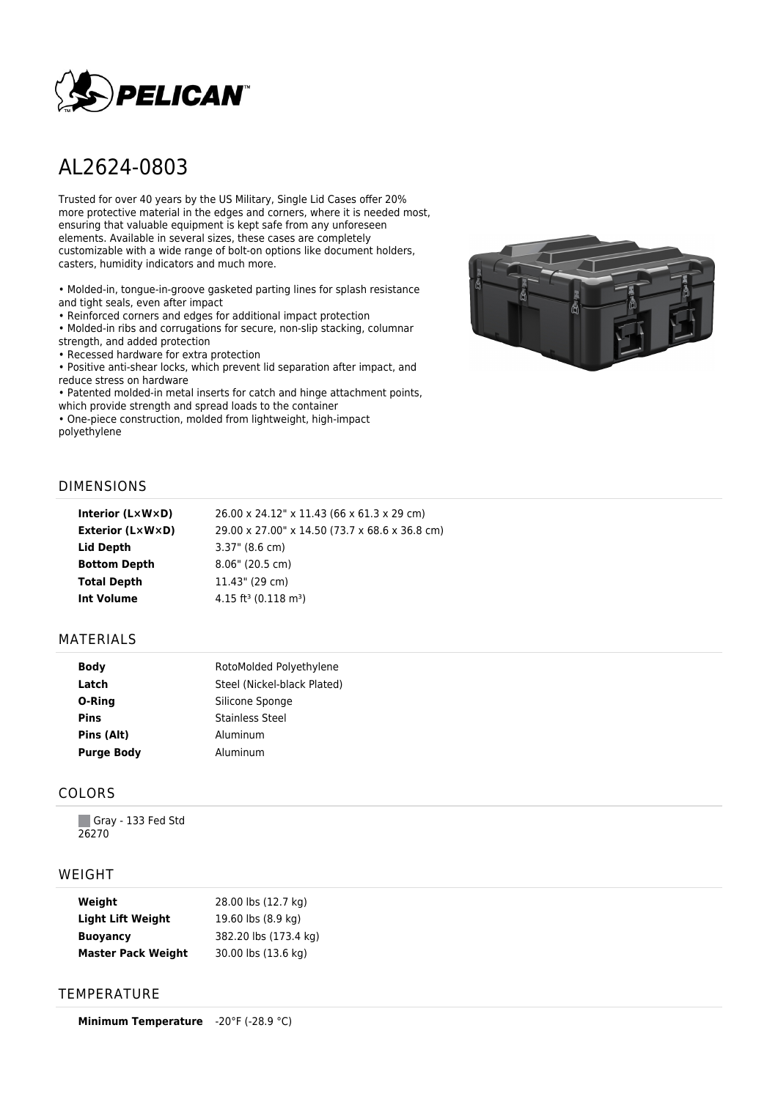

# AL2624-0803

Trusted for over 40 years by the US Military, Single Lid Cases offer 20% more protective material in the edges and corners, where it is needed most, ensuring that valuable equipment is kept safe from any unforeseen elements. Available in several sizes, these cases are completely customizable with a wide range of bolt-on options like document holders, casters, humidity indicators and much more.

• Molded-in, tongue-in-groove gasketed parting lines for splash resistance and tight seals, even after impact

• Reinforced corners and edges for additional impact protection

• Molded-in ribs and corrugations for secure, non-slip stacking, columnar strength, and added protection

• Recessed hardware for extra protection

• Positive anti-shear locks, which prevent lid separation after impact, and reduce stress on hardware

• Patented molded-in metal inserts for catch and hinge attachment points, which provide strength and spread loads to the container

• One-piece construction, molded from lightweight, high-impact polyethylene



### DIMENSIONS

| Interior (LxWxD)    | 26.00 x 24.12" x 11.43 (66 x 61.3 x 29 cm)     |
|---------------------|------------------------------------------------|
| Exterior (L×W×D)    | 29.00 x 27.00" x 14.50 (73.7 x 68.6 x 36.8 cm) |
| Lid Depth           | $3.37$ " (8.6 cm)                              |
| <b>Bottom Depth</b> | $8.06"$ (20.5 cm)                              |
| <b>Total Depth</b>  | 11.43" (29 cm)                                 |
| <b>Int Volume</b>   | 4.15 ft <sup>3</sup> (0.118 m <sup>3</sup> )   |
|                     |                                                |

#### MATERIALS

| <b>Body</b>       | RotoMolded Polyethylene     |
|-------------------|-----------------------------|
| Latch             | Steel (Nickel-black Plated) |
| O-Ring            | Silicone Sponge             |
| <b>Pins</b>       | <b>Stainless Steel</b>      |
| Pins (Alt)        | Aluminum                    |
| <b>Purge Body</b> | Aluminum                    |

## COLORS

Gray - 133 Fed Std 26270

#### WEIGHT

| Weight                    | 28.00 lbs (12.7 kg)   |
|---------------------------|-----------------------|
| <b>Light Lift Weight</b>  | 19.60 lbs (8.9 kg)    |
| <b>Buoyancy</b>           | 382.20 lbs (173.4 kg) |
| <b>Master Pack Weight</b> | 30.00 lbs (13.6 kg)   |

## **TEMPERATURE**

**Minimum Temperature** -20°F (-28.9 °C)